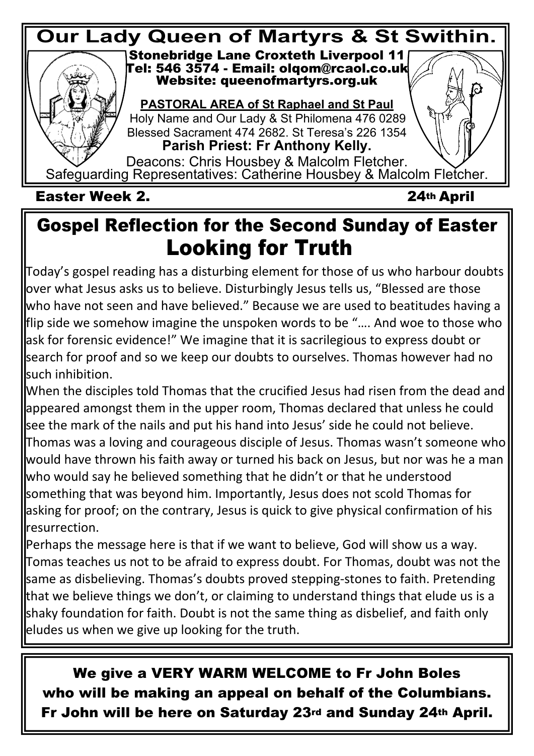

### **Gospel Reflection for the Second Sunday of Easter Looking for Truth**

Today's gospel reading has a disturbing element for those of us who harbour doubts over what Jesus asks us to believe. Disturbingly Jesus tells us, "Blessed are those who have not seen and have believed." Because we are used to beatitudes having a flip side we somehow imagine the unspoken words to be "…. And woe to those who ask for forensic evidence!" We imagine that it is sacrilegious to express doubt or search for proof and so we keep our doubts to ourselves. Thomas however had no such inhibition.

When the disciples told Thomas that the crucified Jesus had risen from the dead and appeared amongst them in the upper room, Thomas declared that unless he could see the mark of the nails and put his hand into Jesus' side he could not believe. Thomas was a loving and courageous disciple of Jesus. Thomas wasn't someone who would have thrown his faith away or turned his back on Jesus, but nor was he a man who would say he believed something that he didn't or that he understood something that was beyond him. Importantly, Jesus does not scold Thomas for asking for proof; on the contrary, Jesus is quick to give physical confirmation of his resurrection.

Perhaps the message here is that if we want to believe, God will show us a way. Tomas teaches us not to be afraid to express doubt. For Thomas, doubt was not the same as disbelieving. Thomas's doubts proved stepping-stones to faith. Pretending that we believe things we don't, or claiming to understand things that elude us is a shaky foundation for faith. Doubt is not the same thing as disbelief, and faith only eludes us when we give up looking for the truth.

**We give a VERY WARM WELCOME to Fr John Boles who will be making an appeal on behalf of the Columbians. Fr John will be here on Saturday 23rd and Sunday 24th April.**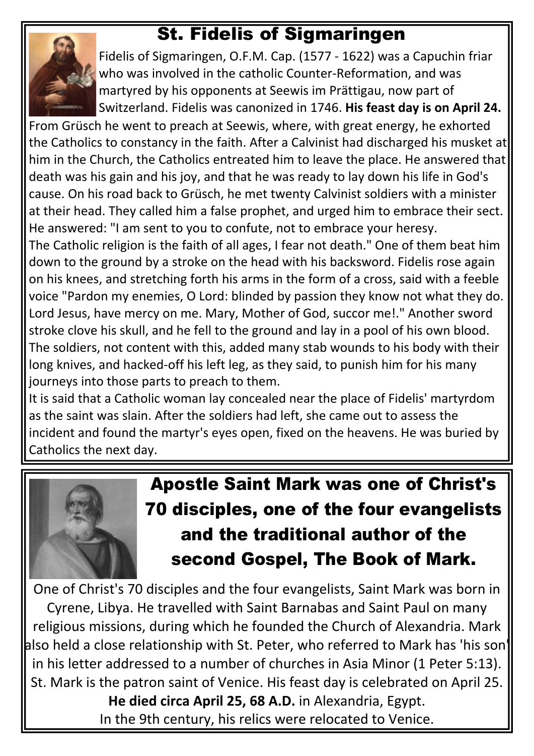#### **St. Fidelis of Sigmaringen**



Fidelis of Sigmaringen, O.F.M. Cap. (1577 - 1622) was a Capuchin friar who was involved in the catholic Counter-Reformation, and was martyred by his opponents at Seewis im Prättigau, now part of Switzerland. Fidelis was canonized in 1746. **His feast day is on April 24.**

From Grüsch he went to preach at Seewis, where, with great energy, he exhorted the Catholics to constancy in the faith. After a Calvinist had discharged his musket at him in the Church, the Catholics entreated him to leave the place. He answered that death was his gain and his joy, and that he was ready to lay down his life in God's cause. On his road back to Grüsch, he met twenty Calvinist soldiers with a minister at their head. They called him a false prophet, and urged him to embrace their sect. He answered: "I am sent to you to confute, not to embrace your heresy.

The Catholic religion is the faith of all ages, I fear not death." One of them beat him down to the ground by a stroke on the head with his backsword. Fidelis rose again on his knees, and stretching forth his arms in the form of a cross, said with a feeble voice "Pardon my enemies, O Lord: blinded by passion they know not what they do. Lord Jesus, have mercy on me. Mary, Mother of God, succor me!." Another sword stroke clove his skull, and he fell to the ground and lay in a pool of his own blood. The soldiers, not content with this, added many stab wounds to his body with their long knives, and hacked-off his left leg, as they said, to punish him for his many journeys into those parts to preach to them.

It is said that a Catholic woman lay concealed near the place of Fidelis' martyrdom as the saint was slain. After the soldiers had left, she came out to assess the incident and found the martyr's eyes open, fixed on the heavens. He was buried by Catholics the next day.



## **Apostle Saint Mark was one of Christ's 70 disciples, one of the four evangelists and the traditional author of the second Gospel, The Book of Mark.**

One of Christ's 70 disciples and the four evangelists, Saint Mark was born in Cyrene, Libya. He travelled with Saint Barnabas and Saint Paul on many religious missions, during which he founded the Church of Alexandria. Mark also held a close relationship with St. Peter, who referred to Mark has 'his son' in his letter addressed to a number of churches in Asia Minor (1 Peter 5:13). St. Mark is the patron saint of Venice. His feast day is celebrated on April 25. **He died circa April 25, 68 A.D.** in Alexandria, Egypt. In the 9th century, his relics were relocated to Venice.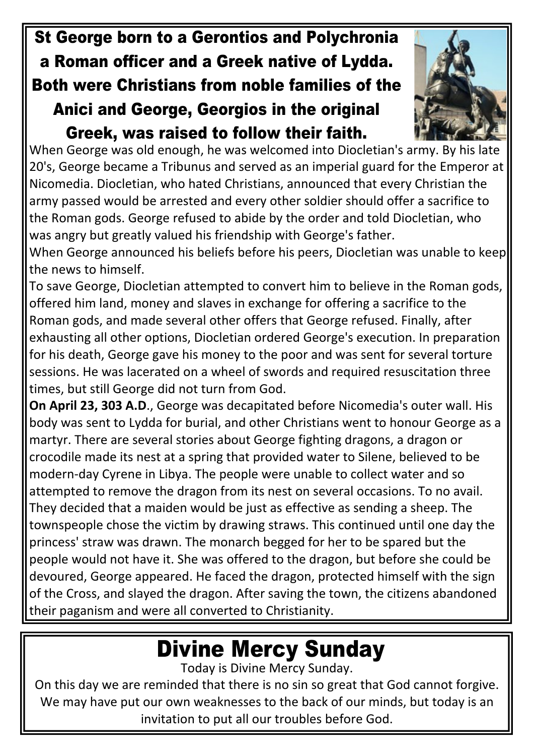#### **St George born to a Gerontios and Polychronia a Roman officer and a Greek native of Lydda. Both were Christians from noble families of the Anici and George, Georgios in the original Greek, was raised to follow their faith.**



When George was old enough, he was welcomed into Diocletian's army. By his late 20's, George became a Tribunus and served as an imperial guard for the Emperor at Nicomedia. Diocletian, who hated Christians, announced that every Christian the army passed would be arrested and every other soldier should offer a sacrifice to the Roman gods. George refused to abide by the order and told Diocletian, who was angry but greatly valued his friendship with George's father.

When George announced his beliefs before his peers, Diocletian was unable to keep the news to himself.

To save George, Diocletian attempted to convert him to believe in the Roman gods, offered him land, money and slaves in exchange for offering a sacrifice to the Roman gods, and made several other offers that George refused. Finally, after exhausting all other options, Diocletian ordered George's execution. In preparation for his death, George gave his money to the poor and was sent for several torture sessions. He was lacerated on a wheel of swords and required resuscitation three times, but still George did not turn from God.

**On April 23, 303 A.D**., George was decapitated before Nicomedia's outer wall. His body was sent to Lydda for burial, and other Christians went to honour George as a martyr. There are several stories about George fighting dragons, a dragon or crocodile made its nest at a spring that provided water to Silene, believed to be modern-day Cyrene in Libya. The people were unable to collect water and so attempted to remove the dragon from its nest on several occasions. To no avail. They decided that a maiden would be just as effective as sending a sheep. The townspeople chose the victim by drawing straws. This continued until one day the princess' straw was drawn. The monarch begged for her to be spared but the people would not have it. She was offered to the dragon, but before she could be devoured, George appeared. He faced the dragon, protected himself with the sign of the Cross, and slayed the dragon. After saving the town, the citizens abandoned their paganism and were all converted to Christianity.

# **Divine Mercy Sunday**

Today is Divine Mercy Sunday.

On this day we are reminded that there is no sin so great that God cannot forgive. We may have put our own weaknesses to the back of our minds, but today is an invitation to put all our troubles before God.